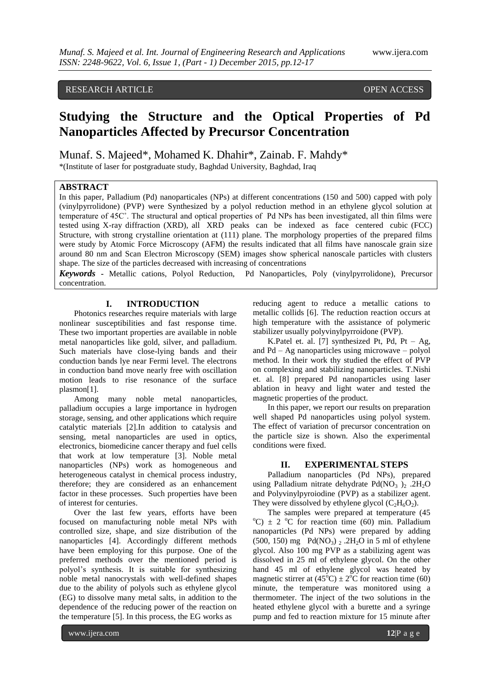## RESEARCH ARTICLE **OPEN ACCESS**

# **Studying the Structure and the Optical Properties of Pd Nanoparticles Affected by Precursor Concentration**

Munaf. S. Majeed\*, Mohamed K. Dhahir\*, Zainab. F. Mahdy\*

\*(Institute of laser for postgraduate study, Baghdad University, Baghdad, Iraq

## **ABSTRACT**

In this paper, Palladium (Pd) nanoparticales (NPs) at different concentrations (150 and 500) capped with poly (vinylpyrrolidone) (PVP) were Synthesized by a polyol reduction method in an ethylene glycol solution at temperature of 45C˚. The structural and optical properties of Pd NPs has been investigated, all thin films were tested using X-ray diffraction (XRD), all XRD peaks can be indexed as face centered cubic (FCC) Structure, with strong crystalline orientation at (111) plane. The morphology properties of the prepared films were study by Atomic Force Microscopy (AFM) the results indicated that all films have nanoscale grain size around 80 nm and Scan Electron Microscopy (SEM) images show spherical nanoscale particles with clusters shape. The size of the particles decreased with increasing of concentrations

*Keywords* **-** Metallic cations, Polyol Reduction, Pd Nanoparticles, Poly (vinylpyrrolidone), Precursor concentration.

## **I. INTRODUCTION**

Photonics researches require materials with large nonlinear susceptibilities and fast response time. These two important properties are available in noble metal nanoparticles like gold, silver, and palladium. Such materials have close-lying bands and their conduction bands lye near Fermi level. The electrons in conduction band move nearly free with oscillation motion leads to rise resonance of the surface plasmon[1].

Among many noble metal nanoparticles, palladium occupies a large importance in hydrogen storage, sensing, and other applications which require catalytic materials [2].In addition to catalysis and sensing, metal nanoparticles are used in optics, electronics, biomedicine cancer therapy and fuel cells that work at low temperature [3]. Noble metal nanoparticles (NPs) work as homogeneous and heterogeneous catalyst in chemical process industry, therefore; they are considered as an enhancement factor in these processes. Such properties have been of interest for centuries.

Over the last few years, efforts have been focused on manufacturing noble metal NPs with controlled size, shape, and size distribution of the nanoparticles [4]. Accordingly different methods have been employing for this purpose. One of the preferred methods over the mentioned period is polyol's synthesis. It is suitable for synthesizing noble metal nanocrystals with well-defined shapes due to the ability of polyols such as ethylene glycol (EG) to dissolve many metal salts, in addition to the dependence of the reducing power of the reaction on the temperature [5]. In this process, the EG works as

reducing agent to reduce a metallic cations to metallic collids [6]. The reduction reaction occurs at high temperature with the assistance of polymeric stabilizer usually polyvinylpyrroidone (PVP).

K.Patel et. al. [7] synthesized Pt, Pd, Pt – Ag, and Pd – Ag nanoparticles using microwave – polyol method. In their work thy studied the effect of PVP on complexing and stabilizing nanoparticles. T.Nishi et. al. [8] prepared Pd nanoparticles using laser ablation in heavy and light water and tested the magnetic properties of the product.

In this paper, we report our results on preparation well shaped Pd nanoparticles using polyol system. The effect of variation of precursor concentration on the particle size is shown. Also the experimental conditions were fixed.

#### **II. EXPERIMENTAL STEPS**

Palladium nanoparticles (Pd NPs), prepared using Palladium nitrate dehydrate Pd( $NO_3$ )<sub>2</sub> .2H<sub>2</sub>O and Polyvinylpyroiodine (PVP) as a stabilizer agent. They were dissolved by ethylene glycol  $(C_2H_6O_2)$ .

The samples were prepared at temperature (45  $^{\circ}$ C)  $\pm$  2 <sup>o</sup>C for reaction time (60) min. Palladium nanoparticles (Pd NPs) were prepared by adding (500, 150) mg  $Pd(NO<sub>3</sub>)$   $_2$  .2H<sub>2</sub>O in 5 ml of ethylene glycol. Also 100 mg PVP as a stabilizing agent was dissolved in 25 ml of ethylene glycol. On the other hand 45 ml of ethylene glycol was heated by magnetic stirrer at  $(45^{\circ}\text{C}) \pm 2^{\circ}\text{C}$  for reaction time (60) minute, the temperature was monitored using a thermometer. The inject of the two solutions in the heated ethylene glycol with a burette and a syringe pump and fed to reaction mixture for 15 minute after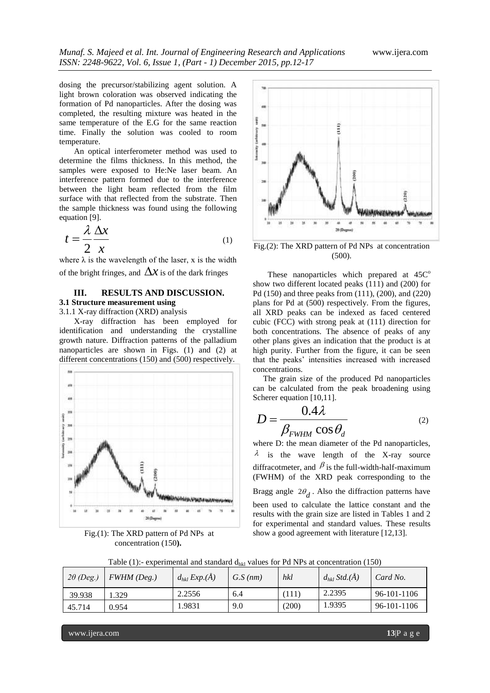dosing the precursor/stabilizing agent solution. A light brown coloration was observed indicating the formation of Pd nanoparticles. After the dosing was completed, the resulting mixture was heated in the same temperature of the E.G for the same reaction time. Finally the solution was cooled to room temperature.

An optical interferometer method was used to determine the films thickness. In this method, the samples were exposed to He:Ne laser beam. An interference pattern formed due to the interference between the light beam reflected from the film surface with that reflected from the substrate. Then the sample thickness was found using the following equation [9].

$$
t = \frac{\lambda}{2} \frac{\Delta x}{x}
$$
 (1)

where  $\lambda$  is the wavelength of the laser, x is the width of the bright fringes, and  $\Delta x$  is of the dark fringes

## **III. RESULTS AND DISCUSSION.**

## **3.1 Structure measurement using**

3.1.1 X-ray diffraction (XRD) analysis X-ray diffraction has been employed for identification and understanding the crystalline growth nature. Diffraction patterns of the palladium nanoparticles are shown in Figs. (1) and (2) at



Fig.(1): The XRD pattern of Pd NPs at concentration (150**).**



Fig.(2): The XRD pattern of Pd NPs at concentration (500).

These nanoparticles which prepared at  $45C<sup>o</sup>$ show two different located peaks (111) and (200) for Pd (150) and three peaks from (111), (200), and (220) plans for Pd at (500) respectively. From the figures, all XRD peaks can be indexed as faced centered cubic (FCC) with strong peak at (111) direction for both concentrations. The absence of peaks of any other plans gives an indication that the product is at high purity. Further from the figure, it can be seen that the peaks' intensities increased with increased concentrations.

 The grain size of the produced Pd nanoparticles can be calculated from the peak broadening using Scherer equation [10,11].

$$
D = \frac{0.4\lambda}{\beta_{FWHM} \cos \theta_d}
$$
 (2)

where D: the mean diameter of the Pd nanoparticles,  $\lambda$  is the wave length of the X-ray source diffracotmeter, and  $\beta$  is the full-width-half-maximum (FWHM) of the XRD peak corresponding to the Bragg angle  $2\theta_d$ . Also the diffraction patterns have been used to calculate the lattice constant and the results with the grain size are listed in Tables 1 and 2 for experimental and standard values. These results show a good agreement with literature [12,13].

| $2\theta$ (Deg.) | $FWHM$ (Deg.) | $d_{hkl}$ Exp.( $\AA$ ) | G.S(nm) | hkl   | $d_{hkl}$ Std.( $\AA$ ) | Card No.    |
|------------------|---------------|-------------------------|---------|-------|-------------------------|-------------|
| 39.938           | .329          | 2.2556                  | 6.4     | ´111) | 2.2395                  | 96-101-1106 |
| 45.714           | 0.954         | .9831                   | 9.0     | (200) | 1.9395                  | 96-101-1106 |

Table (1):- experimental and standard  $d_{hkl}$  values for Pd NPs at concentration (150)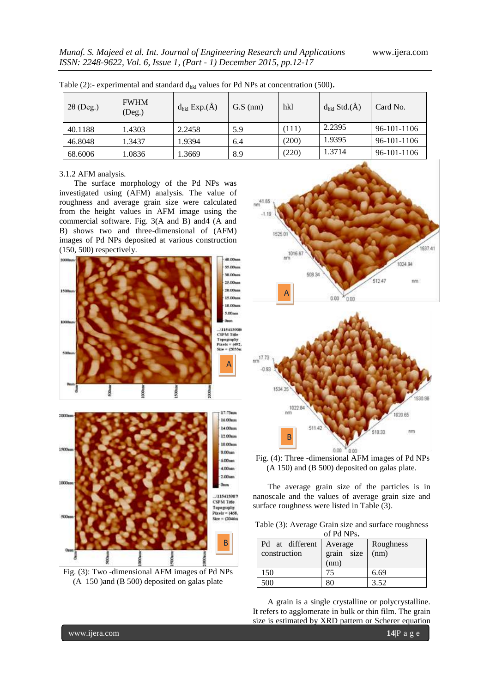| $2\theta$ (Deg.) | <b>FWHM</b><br>(Deg.) | $d_{hkl}$ Exp. $(\AA)$ | $G.S$ (nm) | hkl   | $d_{hkl}$ Std. $(\AA)$ | Card No.    |
|------------------|-----------------------|------------------------|------------|-------|------------------------|-------------|
| 40.1188          | .4303                 | 2.2458                 | 5.9        | (111) | 2.2395                 | 96-101-1106 |
| 46.8048          | 1.3437                | 1.9394                 | 6.4        | (200) | 1.9395                 | 96-101-1106 |
| 68.6006          | .0836                 | .3669                  | 8.9        | (220) | 1.3714                 | 96-101-1106 |

Table (2):- experimental and standard  $d_{hkl}$  values for Pd NPs at concentration (500).

#### 3.1.2 AFM analysis*.*

The surface morphology of the Pd NPs was investigated using (AFM) analysis. The value of roughness and average grain size were calculated from the height values in AFM image using the commercial software. Fig. 3(A and B) and4 (A and B) shows two and three-dimensional of (AFM) images of Pd NPs deposited at various construction (150, 500) respectively.



Fig. (3): Two -dimensional AFM images of Pd NPs (A 150 )and (B 500) deposited on galas plate





Fig. (4): Three -dimensional AFM images of Pd NPs (A 150) and (B 500) deposited on galas plate.

The average grain size of the particles is in nanoscale and the values of average grain size and surface roughness were listed in Table (3).

Table (3): Average Grain size and surface roughness of Pd NPs**.**

| <u>ULLUINIO.</u> |            |           |  |  |  |  |  |  |
|------------------|------------|-----------|--|--|--|--|--|--|
| Pd at different  | Average    | Roughness |  |  |  |  |  |  |
| construction     | grain size | (nm)      |  |  |  |  |  |  |
|                  | (nm)       |           |  |  |  |  |  |  |
| 150              | 75         | 6.69      |  |  |  |  |  |  |
| 500              | 80         | 3.52      |  |  |  |  |  |  |

A grain is a single crystalline or polycrystalline. It refers to agglomerate in bulk or thin film. The grain size is estimated by XRD pattern or Scherer equation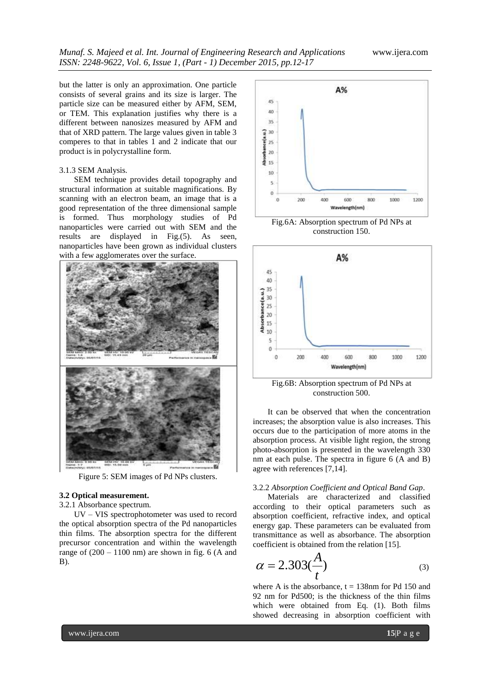but the latter is only an approximation. One particle consists of several grains and its size is larger. The particle size can be measured either by AFM, SEM, or TEM. This explanation justifies why there is a different between nanosizes measured by AFM and that of XRD pattern. The large values given in table 3 comperes to that in tables 1 and 2 indicate that our product is in polycrystalline form.

#### 3.1.3 SEM Analysis.

SEM technique provides detail topography and structural information at suitable magnifications. By scanning with an electron beam, an image that is a good representation of the three dimensional sample is formed. Thus morphology studies of Pd nanoparticles were carried out with SEM and the results are displayed in Fig.(5). As seen, nanoparticles have been grown as individual clusters with a few agglomerates over the surface.



Figure 5: SEM images of Pd NPs clusters.

#### **3.2 Optical measurement.**

3.2.1 Absorbance spectrum*.*

UV – VIS spectrophotometer was used to record the optical absorption spectra of the Pd nanoparticles thin films. The absorption spectra for the different precursor concentration and within the wavelength range of  $(200 - 1100)$  nm) are shown in fig. 6 (A and B).



Fig.6A: Absorption spectrum of Pd NPs at construction 150.



Fig.6B: Absorption spectrum of Pd NPs at construction 500.

It can be observed that when the concentration increases; the absorption value is also increases. This occurs due to the participation of more atoms in the absorption process. At visible light region, the strong photo-absorption is presented in the wavelength 330 nm at each pulse. The spectra in figure 6 (A and B) agree with references [7,14].

#### 3.2.2 *Absorption Coefficient and Optical Band Gap*.

Materials are characterized and classified according to their optical parameters such as absorption coefficient, refractive index, and optical energy gap. These parameters can be evaluated from transmittance as well as absorbance. The absorption coefficient is obtained from the relation [15].

$$
\alpha = 2.303 \left(\frac{A}{t}\right) \tag{3}
$$

where A is the absorbance,  $t = 138$ nm for Pd 150 and 92 nm for Pd500; is the thickness of the thin films which were obtained from Eq. (1). Both films showed decreasing in absorption coefficient with

www.ijera.com **15**|P a g e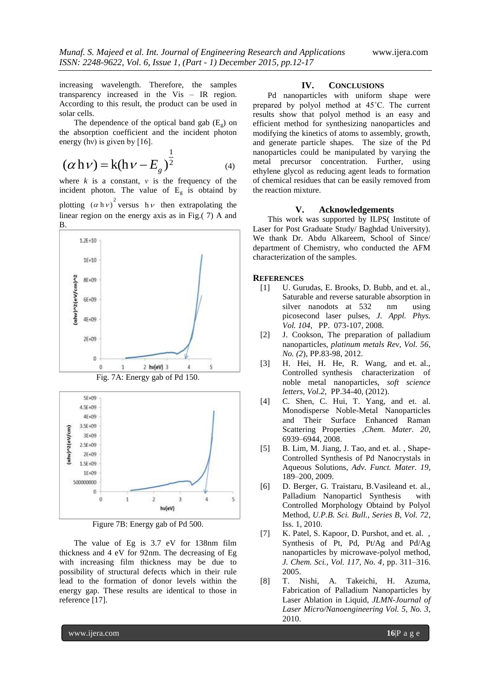increasing wavelength. Therefore, the samples transparency increased in the Vis – IR region. According to this result, the product can be used in solar cells.

The dependence of the optical band gab  $(E_g)$  on the absorption coefficient and the incident photon energy (hv) is given by  $[16]$ .

$$
(\alpha \, h \, \nu) = k (h \, \nu - E_g)^{\frac{1}{2}}
$$
 (4)

where  $k$  is a constant,  $v$  is the frequency of the incident photon. The value of  $E<sub>g</sub>$  is obtaind by plotting  $(\alpha h v)^2$  versus  $h v$  then extrapolating the linear region on the energy axis as in Fig.( 7) A and B.



Figure 7B: Energy gab of Pd 500.

The value of Eg is 3.7 eV for 138nm film thickness and 4 eV for 92nm. The decreasing of Eg with increasing film thickness may be due to possibility of structural defects which in their rule lead to the formation of donor levels within the energy gap. These results are identical to those in reference [17].

### **IV. CONCLUSIONS**

Pd nanoparticles with uniform shape were prepared by polyol method at 45˚C. The current results show that polyol method is an easy and efficient method for synthesizing nanoparticles and modifying the kinetics of atoms to assembly, growth, and generate particle shapes. The size of the Pd nanoparticles could be manipulated by varying the metal precursor concentration. Further, using ethylene glycol as reducing agent leads to formation of chemical residues that can be easily removed from the reaction mixture.

#### **V. Acknowledgements**

This work was supported by ILPS( Institute of Laser for Post Graduate Study/ Baghdad University). We thank Dr. Abdu Alkareem, School of Since/ department of Chemistry, who conducted the AFM characterization of the samples.

#### **REFERENCES**

- [1] U. Gurudas, E. Brooks, D. Bubb, and et. al., Saturable and reverse saturable absorption in silver nanodots at 532 nm using picosecond laser pulses, *J. Appl. Phys. Vol. 104*, PP. 073-107, 2008.
- [2] J. Cookson, The preparation of palladium nanoparticles, *platinum metals Rev, Vol. 56, No. (2*), PP.83-98, 2012.
- [3] H. Hei, H. He, R. Wang, and et. al., Controlled synthesis characterization of noble metal nanoparticles, *soft science letters, Vol.2*, PP.34-40, (2012).
- [4] C. Shen, C. Hui, T. Yang, and et. al. Monodisperse Noble-Metal Nanoparticles and Their Surface Enhanced Raman Scattering Properties ,*Chem. Mater. 20*, 6939–6944, 2008.
- [5] B. Lim, M. Jiang, J. Tao, and et. al., Shape-Controlled Synthesis of Pd Nanocrystals in Aqueous Solutions, *Adv. Funct. Mater. 19*, 189–200, 2009.
- [6] D. Berger, G. Traistaru, B.Vasileand et. al., Palladium Nanoparticl Synthesis with Controlled Morphology Obtaind by Polyol Method, *U.P.B. Sci. Bull., Series B, Vol. 72*, Iss. 1, 2010.
- [7] K. Patel, S. Kapoor, D. Purshot, and et. al., Synthesis of Pt, Pd, Pt/Ag and Pd/Ag nanoparticles by microwave-polyol method, *J. Chem. Sci., Vol. 117, No. 4*, pp. 311–316. 2005.
- [8] T. Nishi, A. Takeichi, H. Azuma, Fabrication of Palladium Nanoparticles by Laser Ablation in Liquid, *JLMN-Journal of Laser Micro/Nanoengineering Vol. 5, No. 3*, 2010.